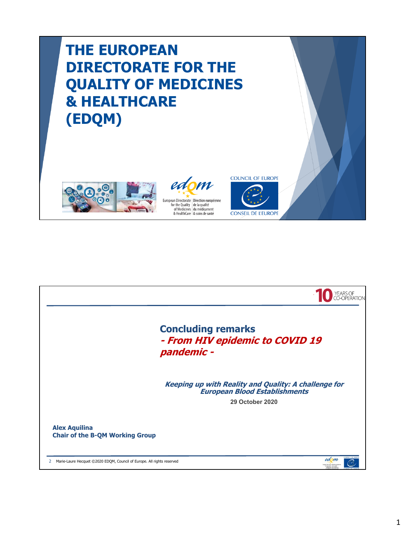## **THE EUROPEAN DIRECTORATE FOR THE QUALITY OF MEDICINES & HEALTHCARE (EDQM)**





**CONSEIL DE L'EUROPE** 

**COUNCIL OF EUROPE** 

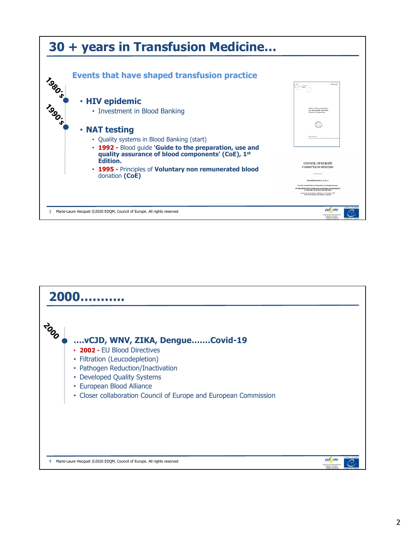

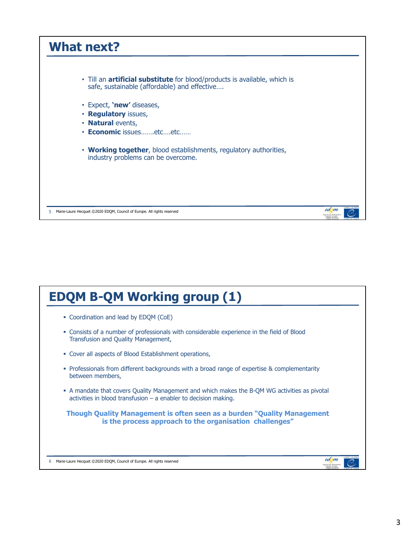

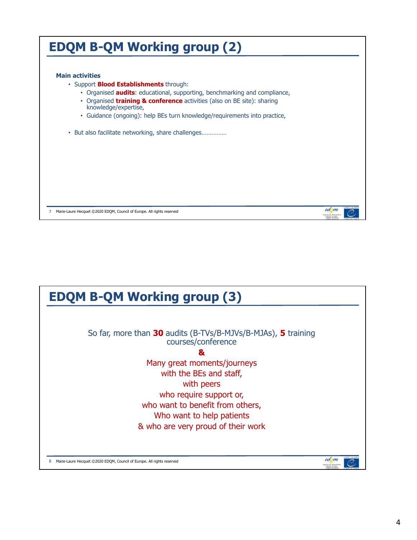